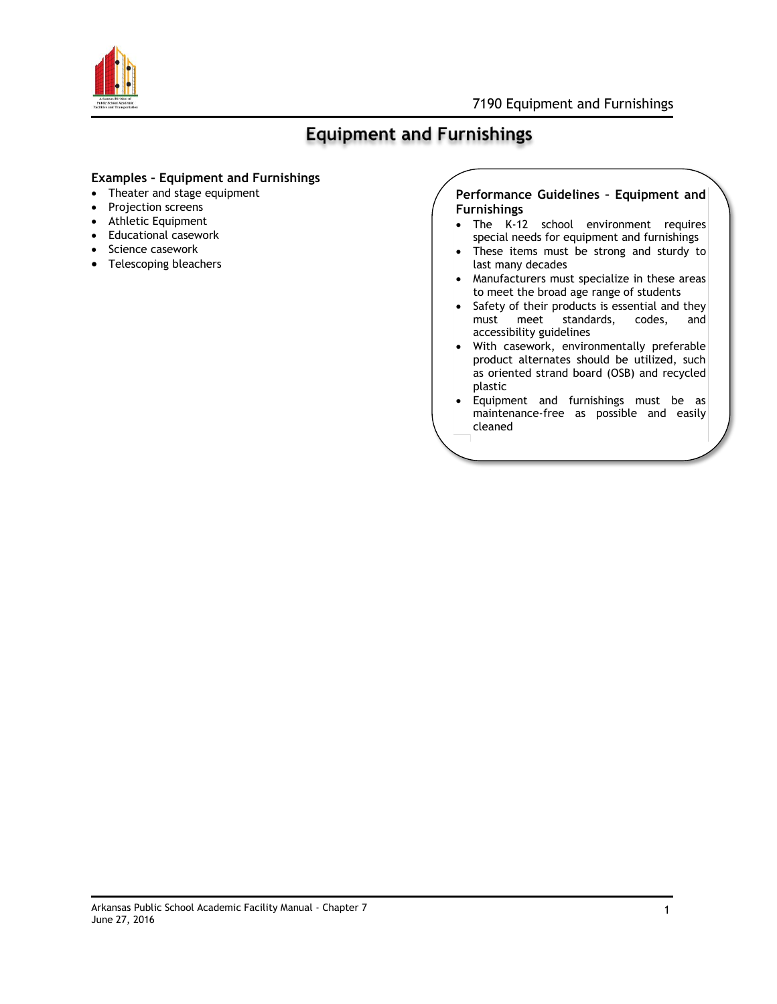

# **Equipment and Furnishings**

## **Examples – Equipment and Furnishings**

- Theater and stage equipment
- Projection screens
- Athletic Equipment
- Educational casework
- Science casework
- Telescoping bleachers

## **Performance Guidelines – Equipment and Furnishings**

- The K-12 school environment requires special needs for equipment and furnishings
- These items must be strong and sturdy to last many decades
- Manufacturers must specialize in these areas to meet the broad age range of students
- Safety of their products is essential and they must meet standards, codes, and accessibility guidelines
- With casework, environmentally preferable product alternates should be utilized, such as oriented strand board (OSB) and recycled plastic
- Equipment and furnishings must be as maintenance-free as possible and easily cleaned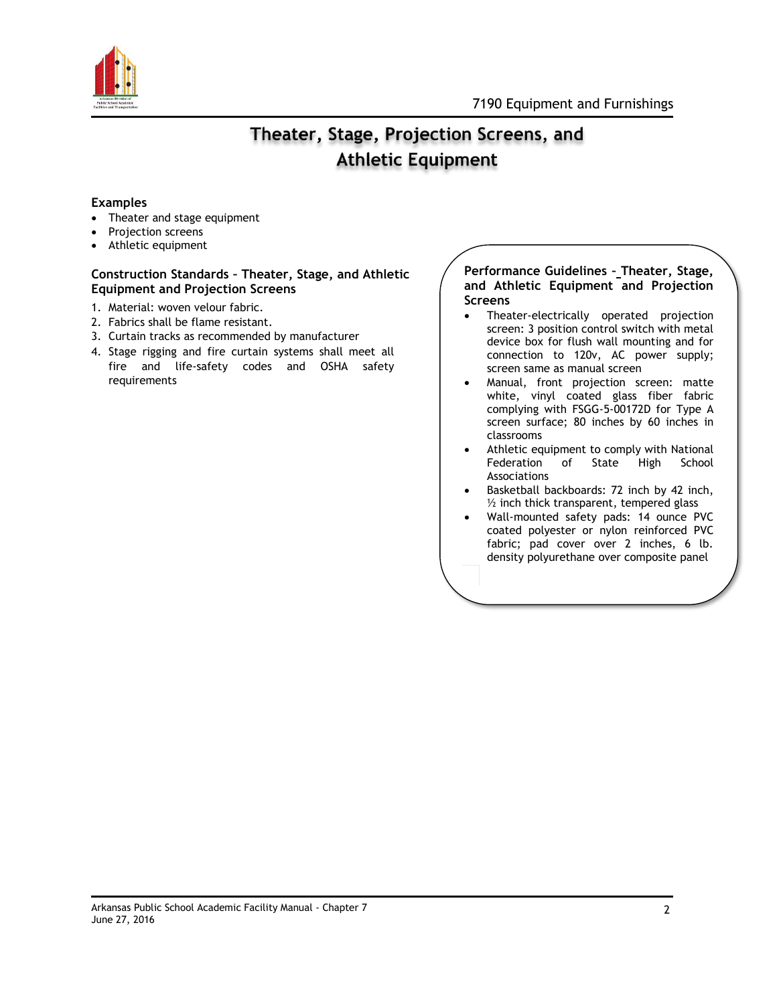

## Theater, Stage, Projection Screens, and **Athletic Equipment**

## **Examples**

- Theater and stage equipment
- Projection screens
- Athletic equipment

### **Construction Standards – Theater, Stage, and Athletic Equipment and Projection Screens**

- 1. Material: woven velour fabric.
- 2. Fabrics shall be flame resistant.
- 3. Curtain tracks as recommended by manufacturer
- 4. Stage rigging and fire curtain systems shall meet all fire and life-safety codes and OSHA safety requirements

### **Performance Guidelines – Theater, Stage, and Athletic Equipment and Projection Screens**

- Theater-electrically operated projection screen: 3 position control switch with metal device box for flush wall mounting and for connection to 120v, AC power supply; screen same as manual screen
- Manual, front projection screen: matte white, vinyl coated glass fiber fabric complying with FSGG-5-00172D for Type A screen surface; 80 inches by 60 inches in classrooms
- Athletic equipment to comply with National Federation of State High School Associations
- Basketball backboards: 72 inch by 42 inch,  $\frac{1}{2}$  inch thick transparent, tempered glass
- Wall-mounted safety pads: 14 ounce PVC coated polyester or nylon reinforced PVC fabric; pad cover over 2 inches, 6 lb. density polyurethane over composite panel